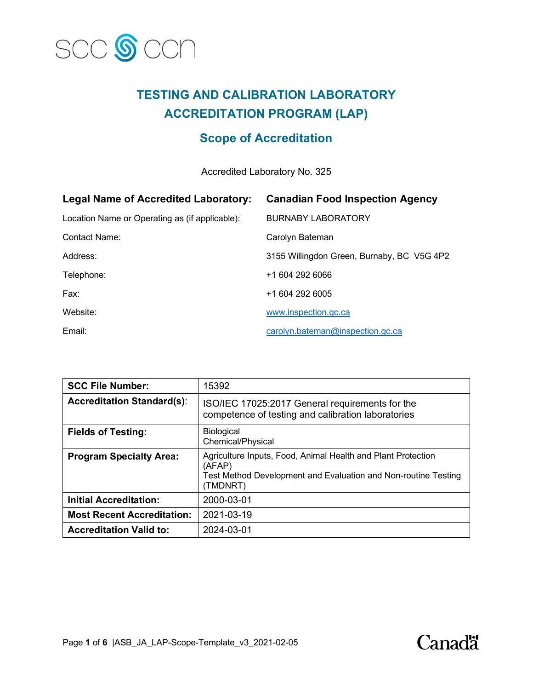

# **TESTING AND CALIBRATION LABORATORY ACCREDITATION PROGRAM (LAP)**

# **Scope of Accreditation**

Accredited Laboratory No. 325

| <b>Legal Name of Accredited Laboratory:</b>    | <b>Canadian Food Inspection Agency</b>     |
|------------------------------------------------|--------------------------------------------|
| Location Name or Operating as (if applicable): | <b>BURNABY LABORATORY</b>                  |
| Contact Name:                                  | Carolyn Bateman                            |
| Address:                                       | 3155 Willingdon Green, Burnaby, BC V5G 4P2 |
| Telephone:                                     | +1 604 292 6066                            |
| Fax:                                           | +1 604 292 6005                            |
| Website:                                       | www.inspection.gc.ca                       |
| Email:                                         | carolyn.bateman@inspection.gc.ca           |

| <b>SCC File Number:</b>           | 15392                                                                                                                                                |
|-----------------------------------|------------------------------------------------------------------------------------------------------------------------------------------------------|
| <b>Accreditation Standard(s):</b> | ISO/IEC 17025:2017 General requirements for the<br>competence of testing and calibration laboratories                                                |
| <b>Fields of Testing:</b>         | <b>Biological</b><br>Chemical/Physical                                                                                                               |
| <b>Program Specialty Area:</b>    | Agriculture Inputs, Food, Animal Health and Plant Protection<br>(AFAP)<br>Test Method Development and Evaluation and Non-routine Testing<br>(TMDNRT) |
| <b>Initial Accreditation:</b>     | 2000-03-01                                                                                                                                           |
| <b>Most Recent Accreditation:</b> | 2021-03-19                                                                                                                                           |
| <b>Accreditation Valid to:</b>    | 2024-03-01                                                                                                                                           |

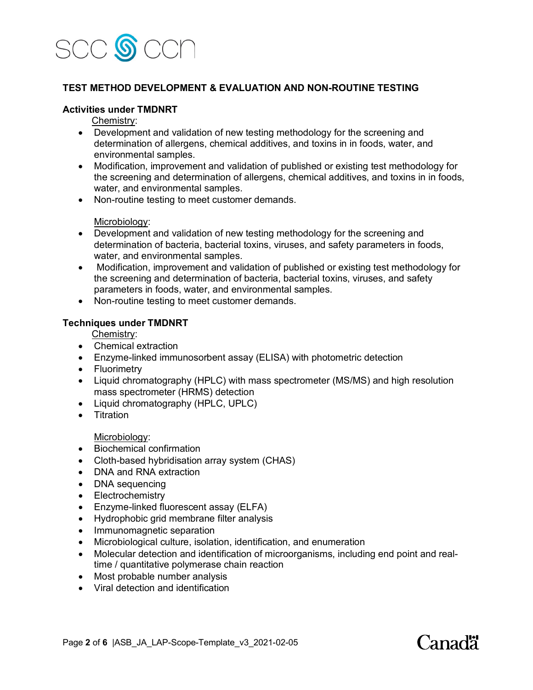

#### **TEST METHOD DEVELOPMENT & EVALUATION AND NON-ROUTINE TESTING**

#### **Activities under TMDNRT**

Chemistry:

- Development and validation of new testing methodology for the screening and determination of allergens, chemical additives, and toxins in in foods, water, and environmental samples.
- Modification, improvement and validation of published or existing test methodology for the screening and determination of allergens, chemical additives, and toxins in in foods, water, and environmental samples.
- Non-routine testing to meet customer demands.

#### Microbiology:

- Development and validation of new testing methodology for the screening and determination of bacteria, bacterial toxins, viruses, and safety parameters in foods, water, and environmental samples.
- Modification, improvement and validation of published or existing test methodology for the screening and determination of bacteria, bacterial toxins, viruses, and safety parameters in foods, water, and environmental samples.
- Non-routine testing to meet customer demands.

#### **Techniques under TMDNRT**

Chemistry:

- Chemical extraction
- Enzyme-linked immunosorbent assay (ELISA) with photometric detection
- Fluorimetry
- Liquid chromatography (HPLC) with mass spectrometer (MS/MS) and high resolution mass spectrometer (HRMS) detection
- Liquid chromatography (HPLC, UPLC)
- Titration

Microbiology:

- Biochemical confirmation
- Cloth-based hybridisation array system (CHAS)
- DNA and RNA extraction
- DNA sequencing
- Electrochemistry
- Enzyme-linked fluorescent assay (ELFA)
- Hydrophobic grid membrane filter analysis
- Immunomagnetic separation
- Microbiological culture, isolation, identification, and enumeration
- Molecular detection and identification of microorganisms, including end point and realtime / quantitative polymerase chain reaction
- Most probable number analysis
- Viral detection and identification

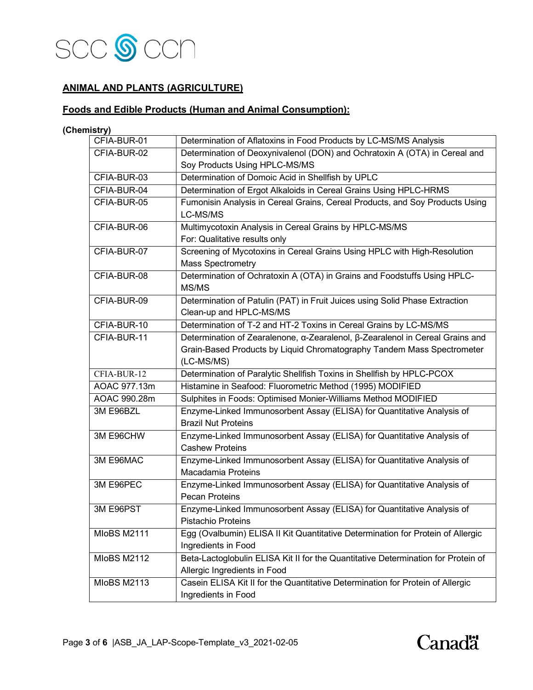

### **ANIMAL AND PLANTS (AGRICULTURE)**

# **Foods and Edible Products (Human and Animal Consumption):**

**(Chemistry)**

| CFIA-BUR-01        | Determination of Aflatoxins in Food Products by LC-MS/MS Analysis                 |
|--------------------|-----------------------------------------------------------------------------------|
| CFIA-BUR-02        | Determination of Deoxynivalenol (DON) and Ochratoxin A (OTA) in Cereal and        |
|                    | Soy Products Using HPLC-MS/MS                                                     |
| CFIA-BUR-03        | Determination of Domoic Acid in Shellfish by UPLC                                 |
| CFIA-BUR-04        | Determination of Ergot Alkaloids in Cereal Grains Using HPLC-HRMS                 |
| CFIA-BUR-05        | Fumonisin Analysis in Cereal Grains, Cereal Products, and Soy Products Using      |
|                    | LC-MS/MS                                                                          |
| CFIA-BUR-06        | Multimycotoxin Analysis in Cereal Grains by HPLC-MS/MS                            |
|                    | For: Qualitative results only                                                     |
| CFIA-BUR-07        | Screening of Mycotoxins in Cereal Grains Using HPLC with High-Resolution          |
|                    | <b>Mass Spectrometry</b>                                                          |
| CFIA-BUR-08        | Determination of Ochratoxin A (OTA) in Grains and Foodstuffs Using HPLC-          |
|                    | MS/MS                                                                             |
| CFIA-BUR-09        | Determination of Patulin (PAT) in Fruit Juices using Solid Phase Extraction       |
|                    | Clean-up and HPLC-MS/MS                                                           |
| CFIA-BUR-10        | Determination of T-2 and HT-2 Toxins in Cereal Grains by LC-MS/MS                 |
| CFIA-BUR-11        | Determination of Zearalenone, α-Zearalenol, β-Zearalenol in Cereal Grains and     |
|                    | Grain-Based Products by Liquid Chromatography Tandem Mass Spectrometer            |
|                    | (LC-MS/MS)                                                                        |
| CFIA-BUR-12        | Determination of Paralytic Shellfish Toxins in Shellfish by HPLC-PCOX             |
| AOAC 977.13m       | Histamine in Seafood: Fluorometric Method (1995) MODIFIED                         |
| AOAC 990.28m       | Sulphites in Foods: Optimised Monier-Williams Method MODIFIED                     |
| 3M E96BZL          | Enzyme-Linked Immunosorbent Assay (ELISA) for Quantitative Analysis of            |
|                    | <b>Brazil Nut Proteins</b>                                                        |
| 3M E96CHW          | Enzyme-Linked Immunosorbent Assay (ELISA) for Quantitative Analysis of            |
|                    | <b>Cashew Proteins</b>                                                            |
| 3M E96MAC          | Enzyme-Linked Immunosorbent Assay (ELISA) for Quantitative Analysis of            |
|                    | Macadamia Proteins                                                                |
| 3M E96PEC          | Enzyme-Linked Immunosorbent Assay (ELISA) for Quantitative Analysis of            |
|                    | <b>Pecan Proteins</b>                                                             |
| 3M E96PST          | Enzyme-Linked Immunosorbent Assay (ELISA) for Quantitative Analysis of            |
|                    | <b>Pistachio Proteins</b>                                                         |
| <b>MIoBS M2111</b> | Egg (Ovalbumin) ELISA II Kit Quantitative Determination for Protein of Allergic   |
|                    | Ingredients in Food                                                               |
| <b>MIoBS M2112</b> | Beta-Lactoglobulin ELISA Kit II for the Quantitative Determination for Protein of |
|                    | Allergic Ingredients in Food                                                      |
| <b>MIoBS M2113</b> | Casein ELISA Kit II for the Quantitative Determination for Protein of Allergic    |
|                    | Ingredients in Food                                                               |

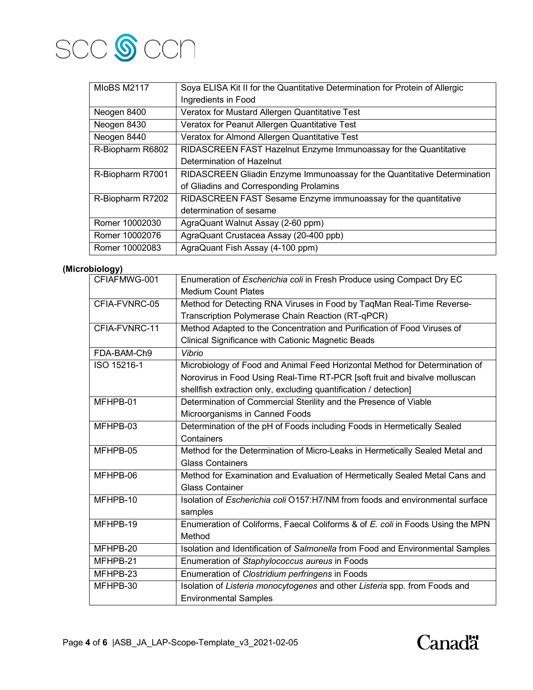

| <b>MIoBS M2117</b> | Soya ELISA Kit II for the Quantitative Determination for Protein of Allergic |
|--------------------|------------------------------------------------------------------------------|
|                    | Ingredients in Food                                                          |
| Neogen 8400        | Veratox for Mustard Allergen Quantitative Test                               |
| Neogen 8430        | Veratox for Peanut Allergen Quantitative Test                                |
| Neogen 8440        | Veratox for Almond Allergen Quantitative Test                                |
| R-Biopharm R6802   | RIDASCREEN FAST Hazelnut Enzyme Immunoassay for the Quantitative             |
|                    | Determination of Hazelnut                                                    |
| R-Biopharm R7001   | RIDASCREEN Gliadin Enzyme Immunoassay for the Quantitative Determination     |
|                    | of Gliadins and Corresponding Prolamins                                      |
| R-Biopharm R7202   | RIDASCREEN FAST Sesame Enzyme immunoassay for the quantitative               |
|                    | determination of sesame                                                      |
| Romer 10002030     | AgraQuant Walnut Assay (2-60 ppm)                                            |
| Romer 10002076     | AgraQuant Crustacea Assay (20-400 ppb)                                       |
| Romer 10002083     | AgraQuant Fish Assay (4-100 ppm)                                             |

## **(Microbiology)**

| CFIAFMWG-001  | Enumeration of Escherichia coli in Fresh Produce using Compact Dry EC                |
|---------------|--------------------------------------------------------------------------------------|
|               | <b>Medium Count Plates</b>                                                           |
| CFIA-FVNRC-05 | Method for Detecting RNA Viruses in Food by TaqMan Real-Time Reverse-                |
|               | Transcription Polymerase Chain Reaction (RT-qPCR)                                    |
| CFIA-FVNRC-11 | Method Adapted to the Concentration and Purification of Food Viruses of              |
|               | Clinical Significance with Cationic Magnetic Beads                                   |
| FDA-BAM-Ch9   | Vibrio                                                                               |
| ISO 15216-1   | Microbiology of Food and Animal Feed Horizontal Method for Determination of          |
|               | Norovirus in Food Using Real-Time RT-PCR [soft fruit and bivalve molluscan           |
|               | shellfish extraction only, excluding quantification / detection]                     |
| MFHPB-01      | Determination of Commercial Sterility and the Presence of Viable                     |
|               | Microorganisms in Canned Foods                                                       |
| MFHPB-03      | Determination of the pH of Foods including Foods in Hermetically Sealed              |
|               | Containers                                                                           |
| MFHPB-05      | Method for the Determination of Micro-Leaks in Hermetically Sealed Metal and         |
|               | <b>Glass Containers</b>                                                              |
| MFHPB-06      | Method for Examination and Evaluation of Hermetically Sealed Metal Cans and          |
|               | <b>Glass Container</b>                                                               |
| MFHPB-10      | Isolation of <i>Escherichia coli</i> O157:H7/NM from foods and environmental surface |
|               | samples                                                                              |
| MFHPB-19      | Enumeration of Coliforms, Faecal Coliforms & of E. coli in Foods Using the MPN       |
|               | Method                                                                               |
| MFHPB-20      | Isolation and Identification of Salmonella from Food and Environmental Samples       |
| MFHPB-21      | Enumeration of Staphylococcus aureus in Foods                                        |
| MFHPB-23      | Enumeration of Clostridium perfringens in Foods                                      |
| MFHPB-30      | Isolation of Listeria monocytogenes and other Listeria spp. from Foods and           |
|               | <b>Environmental Samples</b>                                                         |

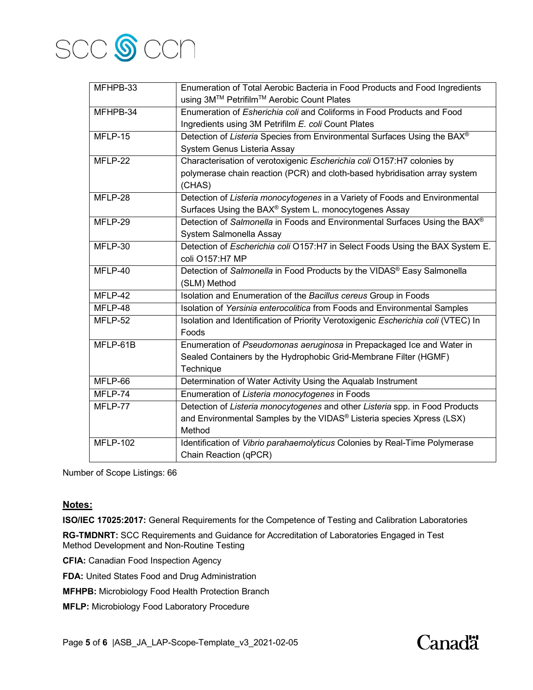

| MFHPB-33        | Enumeration of Total Aerobic Bacteria in Food Products and Food Ingredients       |
|-----------------|-----------------------------------------------------------------------------------|
|                 | using 3M™ Petrifilm™ Aerobic Count Plates                                         |
| MFHPB-34        | Enumeration of <i>Esherichia coli</i> and Coliforms in Food Products and Food     |
|                 | Ingredients using 3M Petrifilm E. coli Count Plates                               |
| MFLP-15         | Detection of Listeria Species from Environmental Surfaces Using the BAX®          |
|                 | System Genus Listeria Assay                                                       |
| MFLP-22         | Characterisation of verotoxigenic Escherichia coli O157:H7 colonies by            |
|                 | polymerase chain reaction (PCR) and cloth-based hybridisation array system        |
|                 | (CHAS)                                                                            |
| MFLP-28         | Detection of Listeria monocytogenes in a Variety of Foods and Environmental       |
|                 | Surfaces Using the BAX® System L. monocytogenes Assay                             |
| MFLP-29         | Detection of Salmonella in Foods and Environmental Surfaces Using the BAX®        |
|                 | System Salmonella Assay                                                           |
| MFLP-30         | Detection of Escherichia coli O157:H7 in Select Foods Using the BAX System E.     |
|                 | coli O157:H7 MP                                                                   |
| MFLP-40         | Detection of Salmonella in Food Products by the VIDAS® Easy Salmonella            |
|                 | (SLM) Method                                                                      |
| MFLP-42         | Isolation and Enumeration of the Bacillus cereus Group in Foods                   |
| MFLP-48         | Isolation of Yersinia enterocolitica from Foods and Environmental Samples         |
| MFLP-52         | Isolation and Identification of Priority Verotoxigenic Escherichia coli (VTEC) In |
|                 | Foods                                                                             |
| MFLP-61B        | Enumeration of Pseudomonas aeruginosa in Prepackaged Ice and Water in             |
|                 | Sealed Containers by the Hydrophobic Grid-Membrane Filter (HGMF)                  |
|                 | Technique                                                                         |
| MFLP-66         | Determination of Water Activity Using the Aqualab Instrument                      |
| MFLP-74         | Enumeration of Listeria monocytogenes in Foods                                    |
| MFLP-77         | Detection of Listeria monocytogenes and other Listeria spp. in Food Products      |
|                 | and Environmental Samples by the VIDAS® Listeria species Xpress (LSX)             |
|                 | Method                                                                            |
| <b>MFLP-102</b> | Identification of Vibrio parahaemolyticus Colonies by Real-Time Polymerase        |
|                 | Chain Reaction (qPCR)                                                             |

Number of Scope Listings: 66

#### **Notes:**

**ISO/IEC 17025:2017:** General Requirements for the Competence of Testing and Calibration Laboratories

**RG-TMDNRT:** SCC Requirements and Guidance for Accreditation of Laboratories Engaged in Test Method Development and Non-Routine Testing

**CFIA:** Canadian Food Inspection Agency

**FDA:** United States Food and Drug Administration

**MFHPB:** Microbiology Food Health Protection Branch

**MFLP:** Microbiology Food Laboratory Procedure

Page **5** of **6** |ASB\_JA\_LAP-Scope-Template\_v3\_2021-02-05